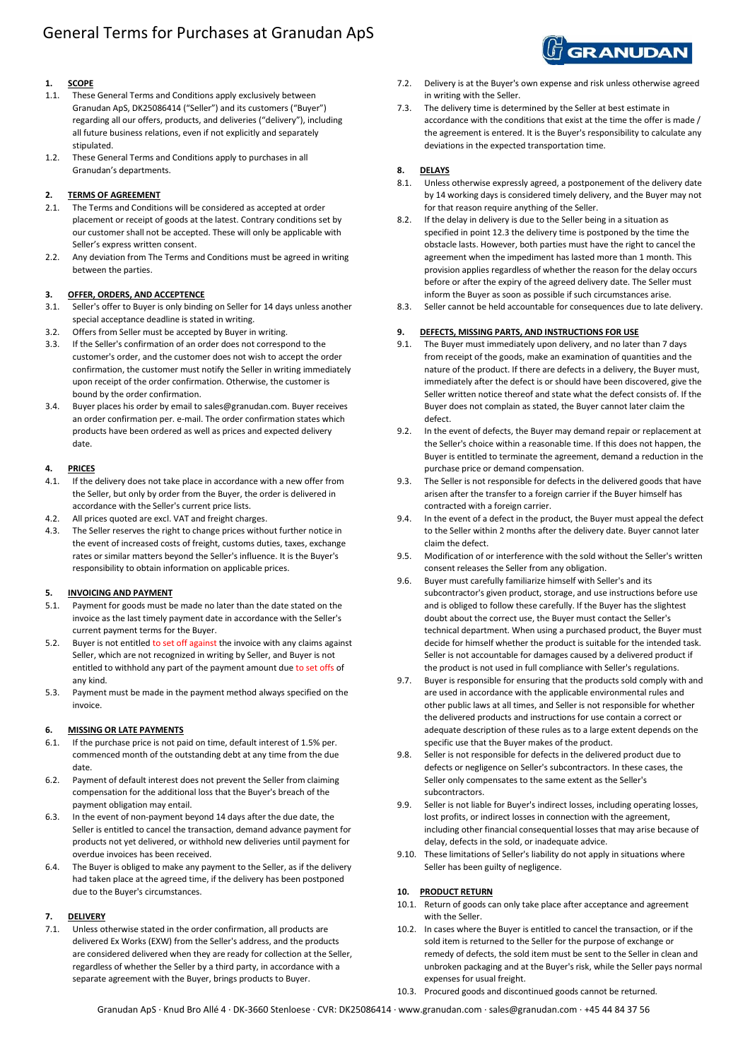# General Terms for Purchases at Granudan ApS

# **1. SCOPE**

- 1.1. These General Terms and Conditions apply exclusively between Granudan ApS, DK25086414 ("Seller") and its customers ("Buyer") regarding all our offers, products, and deliveries ("delivery"), including all future business relations, even if not explicitly and separately stipulated.
- 1.2. These General Terms and Conditions apply to purchases in all Granudan's departments.

## **2. TERMS OF AGREEMENT**

- 2.1. The Terms and Conditions will be considered as accepted at order placement or receipt of goods at the latest. Contrary conditions set by our customer shall not be accepted. These will only be applicable with Seller's express written consent.
- 2.2. Any deviation from The Terms and Conditions must be agreed in writing between the parties.

## **3. OFFER, ORDERS, AND ACCEPTENCE**

- 3.1. Seller's offer to Buyer is only binding on Seller for 14 days unless another special acceptance deadline is stated in writing.
- 3.2. Offers from Seller must be accepted by Buyer in writing.
- 3.3. If the Seller's confirmation of an order does not correspond to the customer's order, and the customer does not wish to accept the order confirmation, the customer must notify the Seller in writing immediately upon receipt of the order confirmation. Otherwise, the customer is bound by the order confirmation.
- 3.4. Buyer places his order by email to sales@granudan.com. Buyer receives an order confirmation per. e-mail. The order confirmation states which products have been ordered as well as prices and expected delivery date.

## **4. PRICES**

- 4.1. If the delivery does not take place in accordance with a new offer from the Seller, but only by order from the Buyer, the order is delivered in accordance with the Seller's current price lists.
- 4.2. All prices quoted are excl. VAT and freight charges.
- 4.3. The Seller reserves the right to change prices without further notice in the event of increased costs of freight, customs duties, taxes, exchange rates or similar matters beyond the Seller's influence. It is the Buyer's responsibility to obtain information on applicable prices.

## **5. INVOICING AND PAYMENT**

- 5.1. Payment for goods must be made no later than the date stated on the invoice as the last timely payment date in accordance with the Seller's current payment terms for the Buyer.
- 5.2. Buyer is not entitled to set off against the invoice with any claims against Seller, which are not recognized in writing by Seller, and Buyer is not entitled to withhold any part of the payment amount due to set offs of any kind.
- 5.3. Payment must be made in the payment method always specified on the invoice.

## **6. MISSING OR LATE PAYMENTS**

- 6.1. If the purchase price is not paid on time, default interest of 1.5% per. commenced month of the outstanding debt at any time from the due date.
- 6.2. Payment of default interest does not prevent the Seller from claiming compensation for the additional loss that the Buyer's breach of the payment obligation may entail.
- 6.3. In the event of non-payment beyond 14 days after the due date, the Seller is entitled to cancel the transaction, demand advance payment for products not yet delivered, or withhold new deliveries until payment for overdue invoices has been received.
- 6.4. The Buyer is obliged to make any payment to the Seller, as if the delivery had taken place at the agreed time, if the delivery has been postponed due to the Buyer's circumstances.

## **7. DELIVERY**

7.1. Unless otherwise stated in the order confirmation, all products are delivered Ex Works (EXW) from the Seller's address, and the products are considered delivered when they are ready for collection at the Seller, regardless of whether the Seller by a third party, in accordance with a separate agreement with the Buyer, brings products to Buyer.

- 7.2. Delivery is at the Buyer's own expense and risk unless otherwise agreed in writing with the Seller.
- 7.3. The delivery time is determined by the Seller at best estimate in accordance with the conditions that exist at the time the offer is made / the agreement is entered. It is the Buyer's responsibility to calculate any deviations in the expected transportation time.

## **8. DELAYS**

- 8.1. Unless otherwise expressly agreed, a postponement of the delivery date by 14 working days is considered timely delivery, and the Buyer may not for that reason require anything of the Seller.
- 8.2. If the delay in delivery is due to the Seller being in a situation as specified in point 12.3 the delivery time is postponed by the time the obstacle lasts. However, both parties must have the right to cancel the agreement when the impediment has lasted more than 1 month. This provision applies regardless of whether the reason for the delay occurs before or after the expiry of the agreed delivery date. The Seller must inform the Buyer as soon as possible if such circumstances arise.
- 8.3. Seller cannot be held accountable for consequences due to late delivery.

## **9. DEFECTS, MISSING PARTS, AND INSTRUCTIONS FOR USE**

- 9.1. The Buyer must immediately upon delivery, and no later than 7 days from receipt of the goods, make an examination of quantities and the nature of the product. If there are defects in a delivery, the Buyer must, immediately after the defect is or should have been discovered, give the Seller written notice thereof and state what the defect consists of. If the Buyer does not complain as stated, the Buyer cannot later claim the defect.
- 9.2. In the event of defects, the Buyer may demand repair or replacement at the Seller's choice within a reasonable time. If this does not happen, the Buyer is entitled to terminate the agreement, demand a reduction in the purchase price or demand compensation.
- 9.3. The Seller is not responsible for defects in the delivered goods that have arisen after the transfer to a foreign carrier if the Buyer himself has contracted with a foreign carrier.
- 9.4. In the event of a defect in the product, the Buyer must appeal the defect to the Seller within 2 months after the delivery date. Buyer cannot later claim the defect.
- 9.5. Modification of or interference with the sold without the Seller's written consent releases the Seller from any obligation.
- 9.6. Buyer must carefully familiarize himself with Seller's and its subcontractor's given product, storage, and use instructions before use and is obliged to follow these carefully. If the Buyer has the slightest doubt about the correct use, the Buyer must contact the Seller's technical department. When using a purchased product, the Buyer must decide for himself whether the product is suitable for the intended task. Seller is not accountable for damages caused by a delivered product if the product is not used in full compliance with Seller's regulations.
- 9.7. Buyer is responsible for ensuring that the products sold comply with and are used in accordance with the applicable environmental rules and other public laws at all times, and Seller is not responsible for whether the delivered products and instructions for use contain a correct or adequate description of these rules as to a large extent depends on the specific use that the Buyer makes of the product.
- 9.8. Seller is not responsible for defects in the delivered product due to defects or negligence on Seller's subcontractors. In these cases, the Seller only compensates to the same extent as the Seller's subcontractors.
- 9.9. Seller is not liable for Buyer's indirect losses, including operating losses, lost profits, or indirect losses in connection with the agreement, including other financial consequential losses that may arise because of delay, defects in the sold, or inadequate advice.
- 9.10. These limitations of Seller's liability do not apply in situations where Seller has been guilty of negligence.

## **10. PRODUCT RETURN**

- 10.1. Return of goods can only take place after acceptance and agreement with the Seller.
- 10.2. In cases where the Buyer is entitled to cancel the transaction, or if the sold item is returned to the Seller for the purpose of exchange or remedy of defects, the sold item must be sent to the Seller in clean and unbroken packaging and at the Buyer's risk, while the Seller pays normal expenses for usual freight.
- 10.3. Procured goods and discontinued goods cannot be returned.